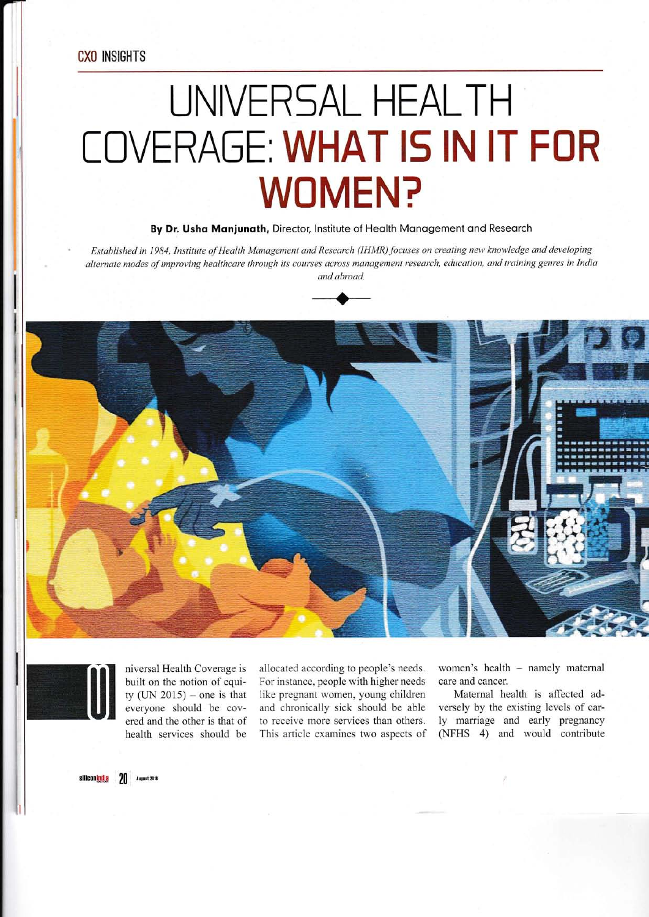**CXO INSIGHTS** 

## UNIVERSAL HEALTH **COVERAGE: WHAT IS IN IT FOR WOMEN?**

By Dr. Usha Manjunath, Director, Institute of Health Management and Research

Established in 1984, Institute of Health Management and Research (IHMR) focuses on creating new knowledge and developing alternate modes of improving healthcare through its courses across management research, education, and training genres in India and abroad.







niversal Health Coverage is built on the notion of equity (UN 2015) – one is that everyone should be covered and the other is that of health services should be

allocated according to people's needs. For instance, people with higher needs like pregnant women, young children and chronically sick should be able to receive more services than others. This article examines two aspects of women's health - namely maternal care and cancer.

Maternal health is affected adversely by the existing levels of early marriage and early pregnancy (NFHS 4) and would contribute

siliconindia 20 August 2018